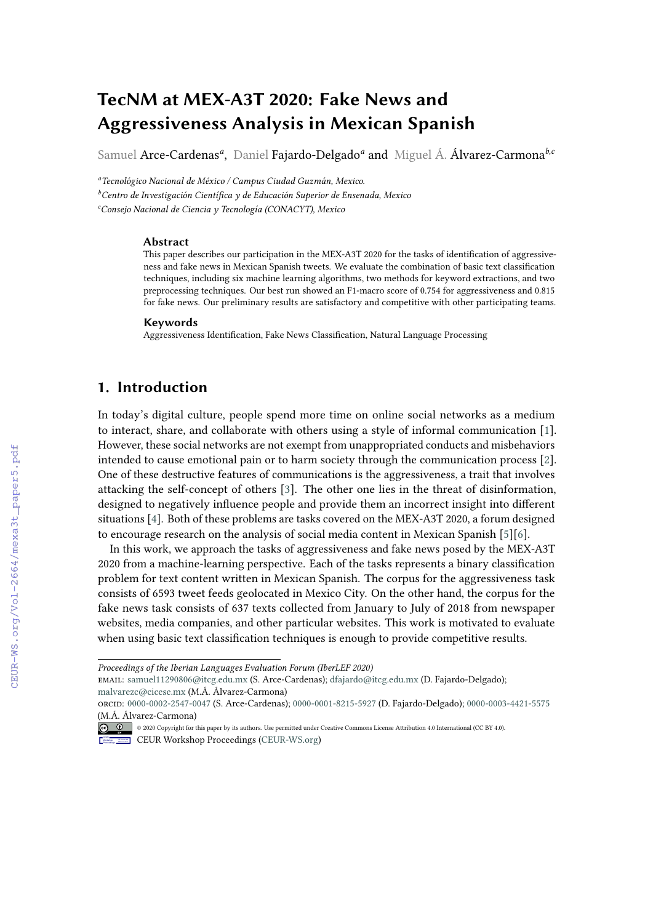# **TecNM at MEX-A3T 2020: Fake News and Aggressiveness Analysis in Mexican Spanish**

Samuel Arce-Cardenas*<sup>a</sup>* , Daniel Fajardo-Delgado*<sup>a</sup>* and Miguel Á. Álvarez-Carmona*b,c*

*<sup>a</sup>Tecnológico Nacional de México / Campus Ciudad Guzmán, Mexico.*

*<sup>b</sup>Centro de Investigación Científica y de Educación Superior de Ensenada, Mexico <sup>c</sup>Consejo Nacional de Ciencia y Tecnología (CONACYT), Mexico*

#### **Abstract**

This paper describes our participation in the MEX-A3T 2020 for the tasks of identification of aggressiveness and fake news in Mexican Spanish tweets. We evaluate the combination of basic text classification techniques, including six machine learning algorithms, two methods for keyword extractions, and two preprocessing techniques. Our best run showed an F1-macro score of 0.754 for aggressiveness and 0.815 for fake news. Our preliminary results are satisfactory and competitive with other participating teams.

#### **Keywords**

Aggressiveness Identification, Fake News Classification, Natural Language Processing

### **1. Introduction**

In today's digital culture, people spend more time on online social networks as a medium to interact, share, and collaborate with others using a style of informal communication [\[1\]](#page--1-0). However, these social networks are not exempt from unappropriated conducts and misbehaviors intended to cause emotional pain or to harm society through the communication process [\[2\]](#page--1-1). One of these destructive features of communications is the aggressiveness, a trait that involves attacking the self-concept of others [\[3\]](#page--1-2). The other one lies in the threat of disinformation, designed to negatively influence people and provide them an incorrect insight into different situations [\[4\]](#page--1-3). Both of these problems are tasks covered on the MEX-A3T 2020, a forum designed to encourage research on the analysis of social media content in Mexican Spanish [\[5\]](#page--1-4)[\[6\]](#page--1-5).

In this work, we approach the tasks of aggressiveness and fake news posed by the MEX-A3T 2020 from a machine-learning perspective. Each of the tasks represents a binary classification problem for text content written in Mexican Spanish. The corpus for the aggressiveness task consists of 6593 tweet feeds geolocated in Mexico City. On the other hand, the corpus for the fake news task consists of 637 texts collected from January to July of 2018 from newspaper websites, media companies, and other particular websites. This work is motivated to evaluate when using basic text classification techniques is enough to provide competitive results.

email: [samuel11290806@itcg.edu.mx](mailto:samuel11290806@itcg.edu.mx) (S. Arce-Cardenas); [dfajardo@itcg.edu.mx](mailto:dfajardo@itcg.edu.mx) (D. Fajardo-Delgado); [malvarezc@cicese.mx](mailto:malvarezc@cicese.mx) (M.Á. Álvarez-Carmona)

orcid: [0000-0002-2547-0047](https://orcid.org/0000-0002-2547-0047) (S. Arce-Cardenas); [0000-0001-8215-5927](https://orcid.org/0000-0001-8215-5927) (D. Fajardo-Delgado); [0000-0003-4421-5575](https://orcid.org/0000-0003-4421-5575) (M.Á. Álvarez-Carmona)

*Proceedings of the Iberian Languages Evaluation Forum (IberLEF 2020)*

<sup>© 2020</sup> Copyright for this paper by its authors. Use permitted under Creative Commons License Attribution 4.0 International (CC BY 4.0). CEUR Workshop [Proceedings](http://ceur-ws.org) [\(CEUR-WS.org\)](http://ceur-ws.org)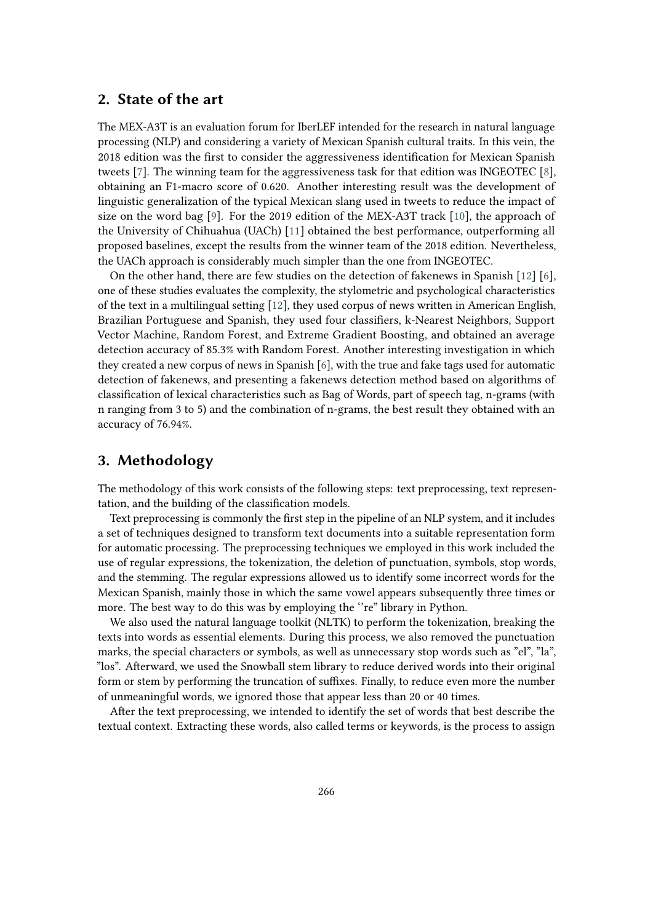#### **2. State of the art**

The MEX-A3T is an evaluation forum for IberLEF intended for the research in natural language processing (NLP) and considering a variety of Mexican Spanish cultural traits. In this vein, the 2018 edition was the first to consider the aggressiveness identification for Mexican Spanish tweets [\[7\]](#page-5-0). The winning team for the aggressiveness task for that edition was INGEOTEC [\[8\]](#page-5-1), obtaining an F1-macro score of 0.620. Another interesting result was the development of linguistic generalization of the typical Mexican slang used in tweets to reduce the impact of size on the word bag [\[9\]](#page-5-2). For the 2019 edition of the MEX-A3T track [\[10\]](#page-5-3), the approach of the University of Chihuahua (UACh) [\[11\]](#page-5-4) obtained the best performance, outperforming all proposed baselines, except the results from the winner team of the 2018 edition. Nevertheless, the UACh approach is considerably much simpler than the one from INGEOTEC.

On the other hand, there are few studies on the detection of fakenews in Spanish [\[12\]](#page-5-5) [\[6\]](#page-5-6), one of these studies evaluates the complexity, the stylometric and psychological characteristics of the text in a multilingual setting [\[12\]](#page-5-5), they used corpus of news written in American English, Brazilian Portuguese and Spanish, they used four classifiers, k-Nearest Neighbors, Support Vector Machine, Random Forest, and Extreme Gradient Boosting, and obtained an average detection accuracy of 85.3% with Random Forest. Another interesting investigation in which they created a new corpus of news in Spanish [\[6\]](#page-5-6), with the true and fake tags used for automatic detection of fakenews, and presenting a fakenews detection method based on algorithms of classification of lexical characteristics such as Bag of Words, part of speech tag, n-grams (with n ranging from 3 to 5) and the combination of n-grams, the best result they obtained with an accuracy of 76.94%.

#### **3. Methodology**

The methodology of this work consists of the following steps: text preprocessing, text representation, and the building of the classification models.

Text preprocessing is commonly the first step in the pipeline of an NLP system, and it includes a set of techniques designed to transform text documents into a suitable representation form for automatic processing. The preprocessing techniques we employed in this work included the use of regular expressions, the tokenization, the deletion of punctuation, symbols, stop words, and the stemming. The regular expressions allowed us to identify some incorrect words for the Mexican Spanish, mainly those in which the same vowel appears subsequently three times or more. The best way to do this was by employing the ''re" library in Python.

We also used the natural language toolkit (NLTK) to perform the tokenization, breaking the texts into words as essential elements. During this process, we also removed the punctuation marks, the special characters or symbols, as well as unnecessary stop words such as "el", "la", "los". Afterward, we used the Snowball stem library to reduce derived words into their original form or stem by performing the truncation of suffixes. Finally, to reduce even more the number of unmeaningful words, we ignored those that appear less than 20 or 40 times.

After the text preprocessing, we intended to identify the set of words that best describe the textual context. Extracting these words, also called terms or keywords, is the process to assign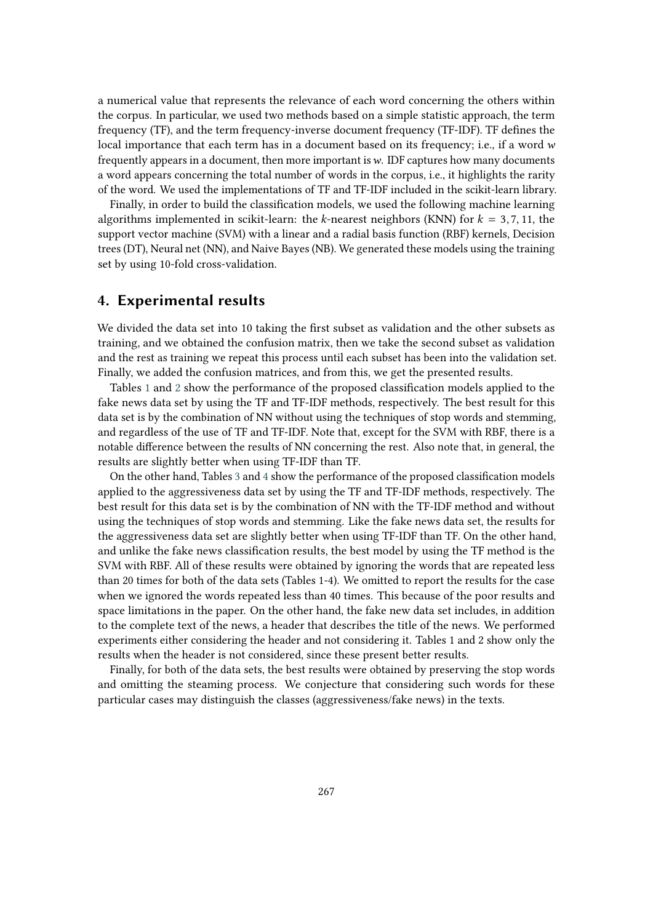a numerical value that represents the relevance of each word concerning the others within the corpus. In particular, we used two methods based on a simple statistic approach, the term frequency (TF), and the term frequency-inverse document frequency (TF-IDF). TF defines the local importance that each term has in a document based on its frequency; i.e., if a word w frequently appears in a document, then more important is  $w$ . IDF captures how many documents a word appears concerning the total number of words in the corpus, i.e., it highlights the rarity of the word. We used the implementations of TF and TF-IDF included in the scikit-learn library.

Finally, in order to build the classification models, we used the following machine learning algorithms implemented in scikit-learn: the k-nearest neighbors (KNN) for  $k = 3, 7, 11$ , the support vector machine (SVM) with a linear and a radial basis function (RBF) kernels, Decision trees (DT), Neural net (NN), and Naive Bayes (NB). We generated these models using the training set by using 10-fold cross-validation.

#### **4. Experimental results**

We divided the data set into 10 taking the first subset as validation and the other subsets as training, and we obtained the confusion matrix, then we take the second subset as validation and the rest as training we repeat this process until each subset has been into the validation set. Finally, we added the confusion matrices, and from this, we get the presented results.

Tables [1](#page-3-0) and [2](#page-4-0) show the performance of the proposed classification models applied to the fake news data set by using the TF and TF-IDF methods, respectively. The best result for this data set is by the combination of NN without using the techniques of stop words and stemming, and regardless of the use of TF and TF-IDF. Note that, except for the SVM with RBF, there is a notable difference between the results of NN concerning the rest. Also note that, in general, the results are slightly better when using TF-IDF than TF.

On the other hand, Tables [3](#page-6-0) and [4](#page-7-0) show the performance of the proposed classification models applied to the aggressiveness data set by using the TF and TF-IDF methods, respectively. The best result for this data set is by the combination of NN with the TF-IDF method and without using the techniques of stop words and stemming. Like the fake news data set, the results for the aggressiveness data set are slightly better when using TF-IDF than TF. On the other hand, and unlike the fake news classification results, the best model by using the TF method is the SVM with RBF. All of these results were obtained by ignoring the words that are repeated less than 20 times for both of the data sets (Tables 1-4). We omitted to report the results for the case when we ignored the words repeated less than 40 times. This because of the poor results and space limitations in the paper. On the other hand, the fake new data set includes, in addition to the complete text of the news, a header that describes the title of the news. We performed experiments either considering the header and not considering it. Tables 1 and 2 show only the results when the header is not considered, since these present better results.

Finally, for both of the data sets, the best results were obtained by preserving the stop words and omitting the steaming process. We conjecture that considering such words for these particular cases may distinguish the classes (aggressiveness/fake news) in the texts.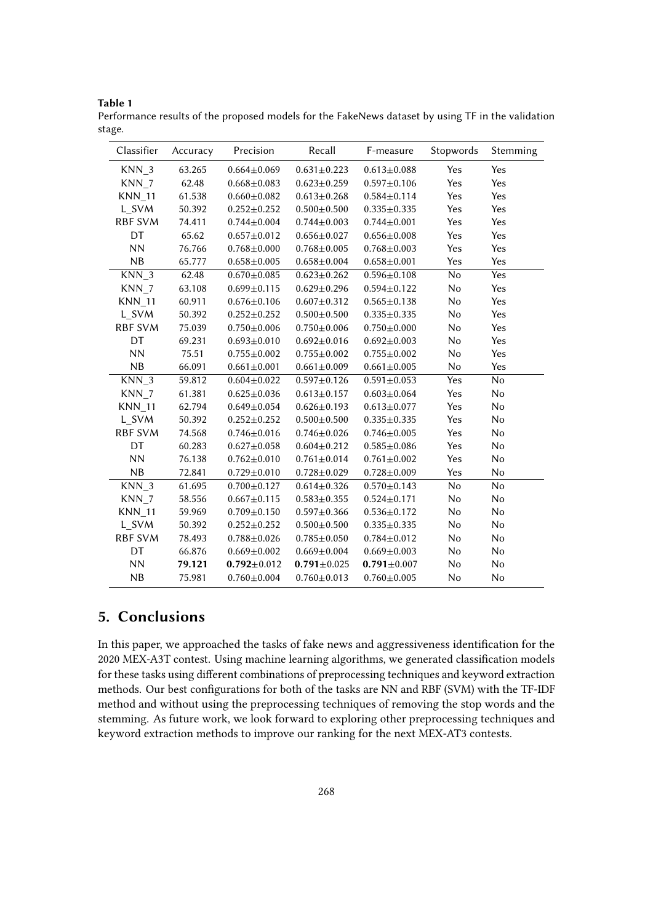**Table 1**

<span id="page-3-0"></span>Performance results of the proposed models for the FakeNews dataset by using TF in the validation stage.

| Classifier       | Accuracy | Precision         | Recall            | F-measure         | Stopwords  | Stemming |
|------------------|----------|-------------------|-------------------|-------------------|------------|----------|
| KNN <sub>3</sub> | 63.265   | $0.664 \pm 0.069$ | $0.631 \pm 0.223$ | $0.613 \pm 0.088$ | Yes        | Yes      |
| KNN <sub>7</sub> | 62.48    | $0.668 \pm 0.083$ | $0.623 \pm 0.259$ | $0.597 + 0.106$   | Yes        | Yes      |
| <b>KNN</b> 11    | 61.538   | $0.660 \pm 0.082$ | $0.613 \pm 0.268$ | $0.584 \pm 0.114$ | Yes        | Yes      |
| L_SVM            | 50.392   | $0.252 \pm 0.252$ | $0.500 + 0.500$   | $0.335 \pm 0.335$ | Yes        | Yes      |
| <b>RBF SVM</b>   | 74.411   | $0.744 \pm 0.004$ | $0.744 \pm 0.003$ | $0.744 \pm 0.001$ | Yes        | Yes      |
| DT               | 65.62    | $0.657 \pm 0.012$ | $0.656 \pm 0.027$ | $0.656 \pm 0.008$ | Yes        | Yes      |
| <b>NN</b>        | 76.766   | $0.768 + 0.000$   | $0.768 + 0.005$   | $0.768 \pm 0.003$ | Yes        | Yes      |
| NB               | 65.777   | $0.658 \pm 0.005$ | $0.658 \pm 0.004$ | $0.658 + 0.001$   | Yes        | Yes      |
| KNN <sub>3</sub> | 62.48    | $0.670 \pm 0.085$ | $0.623 \pm 0.262$ | $0.596 \pm 0.108$ | No         | Yes      |
| KNN <sub>7</sub> | 63.108   | $0.699 \pm 0.115$ | $0.629 \pm 0.296$ | $0.594 \pm 0.122$ | No         | Yes      |
| <b>KNN_11</b>    | 60.911   | $0.676 \pm 0.106$ | $0.607 + 0.312$   | $0.565 \pm 0.138$ | No         | Yes      |
| L SVM            | 50.392   | $0.252 \pm 0.252$ | $0.500 + 0.500$   | $0.335 \pm 0.335$ | No         | Yes      |
| <b>RBF SVM</b>   | 75.039   | $0.750 \pm 0.006$ | $0.750 \pm 0.006$ | $0.750 + 0.000$   | No         | Yes      |
| DT               | 69.231   | $0.693 \pm 0.010$ | $0.692 \pm 0.016$ | $0.692 \pm 0.003$ | No         | Yes      |
| <b>NN</b>        | 75.51    | $0.755 \pm 0.002$ | $0.755 \pm 0.002$ | $0.755 \pm 0.002$ | No         | Yes      |
| NB               | 66.091   | $0.661 \pm 0.001$ | $0.661 \pm 0.009$ | $0.661 \pm 0.005$ | No         | Yes      |
| KNN <sub>3</sub> | 59.812   | $0.604 \pm 0.022$ | $0.597 \pm 0.126$ | $0.591 \pm 0.053$ | <b>Yes</b> | No       |
| KNN <sub>7</sub> | 61.381   | $0.625 \pm 0.036$ | $0.613 \pm 0.157$ | $0.603 \pm 0.064$ | Yes        | No       |
| <b>KNN_11</b>    | 62.794   | $0.649 \pm 0.054$ | $0.626 \pm 0.193$ | $0.613 \pm 0.077$ | Yes        | No       |
| L SVM            | 50.392   | $0.252 \pm 0.252$ | $0.500 + 0.500$   | $0.335 \pm 0.335$ | Yes        | No       |
| <b>RBF SVM</b>   | 74.568   | $0.746 \pm 0.016$ | $0.746 \pm 0.026$ | $0.746 \pm 0.005$ | Yes        | No       |
| DT               | 60.283   | $0.627 + 0.058$   | $0.604 \pm 0.212$ | $0.585 \pm 0.086$ | Yes        | No       |
| <b>NN</b>        | 76.138   | $0.762 \pm 0.010$ | $0.761 \pm 0.014$ | $0.761 \pm 0.002$ | Yes        | No       |
| NB               | 72.841   | $0.729 \pm 0.010$ | $0.728 \pm 0.029$ | $0.728 \pm 0.009$ | Yes        | No       |
| $KNN_3$          | 61.695   | $0.700 + 0.127$   | $0.614 \pm 0.326$ | $0.570 \pm 0.143$ | No         | No       |
| KNN <sub>7</sub> | 58.556   | $0.667 \pm 0.115$ | $0.583 \pm 0.355$ | $0.524 \pm 0.171$ | No         | No       |
| <b>KNN_11</b>    | 59.969   | $0.709 + 0.150$   | $0.597 + 0.366$   | $0.536 \pm 0.172$ | No         | No       |
| L SVM            | 50.392   | $0.252 \pm 0.252$ | $0.500 + 0.500$   | $0.335 \pm 0.335$ | No         | No       |
| <b>RBF SVM</b>   | 78.493   | $0.788 + 0.026$   | $0.785 \pm 0.050$ | $0.784 \pm 0.012$ | No         | No       |
| DT               | 66.876   | $0.669 + 0.002$   | $0.669 \pm 0.004$ | $0.669 \pm 0.003$ | No         | No       |
| NN               | 79.121   | $0.792 \pm 0.012$ | $0.791 \pm 0.025$ | $0.791 \pm 0.007$ | No         | No       |
| NB               | 75.981   | $0.760 \pm 0.004$ | $0.760 + 0.013$   | $0.760 + 0.005$   | No         | No       |

### **5. Conclusions**

In this paper, we approached the tasks of fake news and aggressiveness identification for the 2020 MEX-A3T contest. Using machine learning algorithms, we generated classification models for these tasks using different combinations of preprocessing techniques and keyword extraction methods. Our best configurations for both of the tasks are NN and RBF (SVM) with the TF-IDF method and without using the preprocessing techniques of removing the stop words and the stemming. As future work, we look forward to exploring other preprocessing techniques and keyword extraction methods to improve our ranking for the next MEX-AT3 contests.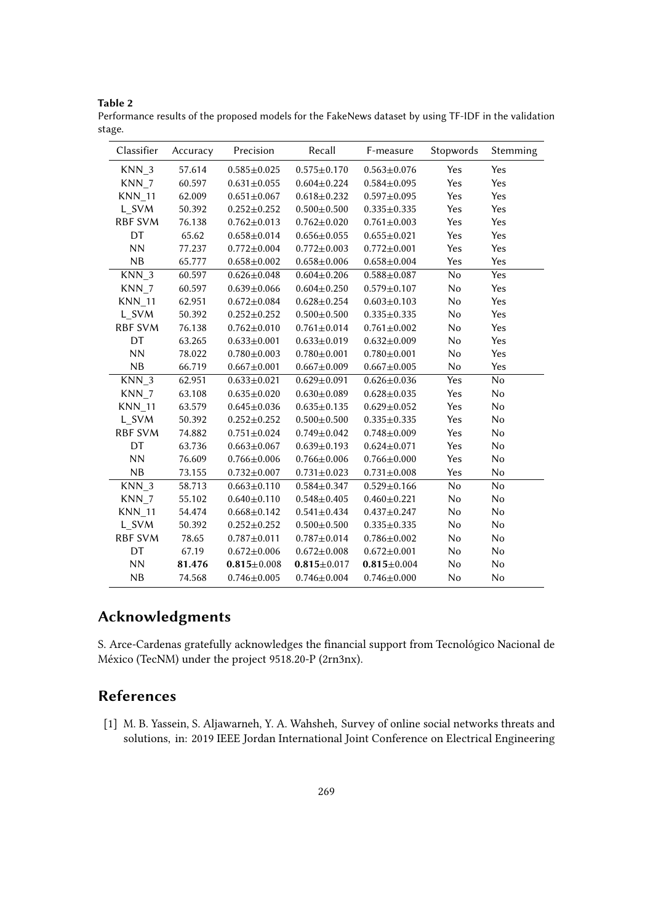**Table 2**

<span id="page-4-0"></span>Performance results of the proposed models for the FakeNews dataset by using TF-IDF in the validation stage.

| Classifier       | Accuracy | Precision         | Recall            | F-measure         | Stopwords | Stemming |
|------------------|----------|-------------------|-------------------|-------------------|-----------|----------|
| KNN <sub>3</sub> | 57.614   | $0.585 + 0.025$   | $0.575 \pm 0.170$ | $0.563 \pm 0.076$ | Yes       | Yes      |
| KNN <sub>7</sub> | 60.597   | $0.631 \pm 0.055$ | $0.604 \pm 0.224$ | $0.584 \pm 0.095$ | Yes       | Yes      |
| <b>KNN_11</b>    | 62.009   | $0.651 \pm 0.067$ | $0.618 \pm 0.232$ | $0.597 + 0.095$   | Yes       | Yes      |
| L SVM            | 50.392   | $0.252 \pm 0.252$ | $0.500 \pm 0.500$ | $0.335 \pm 0.335$ | Yes       | Yes      |
| <b>RBF SVM</b>   | 76.138   | $0.762 \pm 0.013$ | $0.762 \pm 0.020$ | $0.761 \pm 0.003$ | Yes       | Yes      |
| DT               | 65.62    | $0.658 + 0.014$   | $0.656 \pm 0.055$ | $0.655 \pm 0.021$ | Yes       | Yes      |
| <b>NN</b>        | 77.237   | $0.772 \pm 0.004$ | $0.772 \pm 0.003$ | $0.772 \pm 0.001$ | Yes       | Yes      |
| NB               | 65.777   | $0.658 \pm 0.002$ | $0.658 + 0.006$   | $0.658 \pm 0.004$ | Yes       | Yes      |
| KNN <sub>3</sub> | 60.597   | $0.626 \pm 0.048$ | $0.604 \pm 0.206$ | $0.588 + 0.087$   | No        | Yes      |
| KNN 7            | 60.597   | $0.639 + 0.066$   | $0.604 \pm 0.250$ | $0.579 \pm 0.107$ | No        | Yes      |
| <b>KNN_11</b>    | 62.951   | $0.672 \pm 0.084$ | $0.628 + 0.254$   | $0.603 \pm 0.103$ | No        | Yes      |
| L SVM            | 50.392   | $0.252 \pm 0.252$ | $0.500 + 0.500$   | $0.335 \pm 0.335$ | No        | Yes      |
| <b>RBF SVM</b>   | 76.138   | $0.762 \pm 0.010$ | $0.761 \pm 0.014$ | $0.761 \pm 0.002$ | No        | Yes      |
| DT               | 63.265   | $0.633 \pm 0.001$ | $0.633 \pm 0.019$ | $0.632 \pm 0.009$ | No        | Yes      |
| <b>NN</b>        | 78.022   | $0.780 \pm 0.003$ | $0.780 + 0.001$   | $0.780 + 0.001$   | No        | Yes      |
| NB               | 66.719   | $0.667 \pm 0.001$ | $0.667 \pm 0.009$ | $0.667 + 0.005$   | No        | Yes      |
| KNN <sub>3</sub> | 62.951   | $0.633 \pm 0.021$ | $0.629 \pm 0.091$ | $0.626 \pm 0.036$ | Yes       | No       |
| KNN <sub>7</sub> | 63.108   | $0.635 \pm 0.020$ | $0.630 \pm 0.089$ | $0.628 \pm 0.035$ | Yes       | No       |
| <b>KNN_11</b>    | 63.579   | $0.645 \pm 0.036$ | $0.635 \pm 0.135$ | $0.629 \pm 0.052$ | Yes       | No       |
| L SVM            | 50.392   | $0.252 \pm 0.252$ | $0.500 + 0.500$   | $0.335 + 0.335$   | Yes       | No       |
| <b>RBF SVM</b>   | 74.882   | $0.751 \pm 0.024$ | $0.749 \pm 0.042$ | $0.748 + 0.009$   | Yes       | No       |
| DT               | 63.736   | $0.663 \pm 0.067$ | $0.639 \pm 0.193$ | $0.624 \pm 0.071$ | Yes       | No       |
| <b>NN</b>        | 76.609   | $0.766 \pm 0.006$ | $0.766 \pm 0.006$ | $0.766 \pm 0.000$ | Yes       | No       |
| NB               | 73.155   | $0.732 \pm 0.007$ | $0.731 \pm 0.023$ | $0.731 \pm 0.008$ | Yes       | No       |
| KNN <sub>3</sub> | 58.713   | $0.663 \pm 0.110$ | $0.584 \pm 0.347$ | $0.529 \pm 0.166$ | No        | No       |
| KNN <sub>7</sub> | 55.102   | $0.640 \pm 0.110$ | $0.548 + 0.405$   | $0.460 \pm 0.221$ | No        | No       |
| <b>KNN_11</b>    | 54.474   | $0.668 \pm 0.142$ | $0.541 \pm 0.434$ | $0.437 + 0.247$   | No        | No       |
| L SVM            | 50.392   | $0.252 \pm 0.252$ | $0.500 + 0.500$   | $0.335 + 0.335$   | No        | No       |
| <b>RBF SVM</b>   | 78.65    | $0.787 + 0.011$   | $0.787 + 0.014$   | $0.786 \pm 0.002$ | No        | No       |
| DT               | 67.19    | $0.672 \pm 0.006$ | $0.672 \pm 0.008$ | $0.672 \pm 0.001$ | No        | No       |
| <b>NN</b>        | 81.476   | $0.815 \pm 0.008$ | $0.815 \pm 0.017$ | $0.815 \pm 0.004$ | No        | No       |
| NB               | 74.568   | $0.746 \pm 0.005$ | $0.746 \pm 0.004$ | $0.746 \pm 0.000$ | No        | No       |

## **Acknowledgments**

S. Arce-Cardenas gratefully acknowledges the financial support from Tecnológico Nacional de México (TecNM) under the project 9518.20-P (2rn3nx).

# **References**

[1] M. B. Yassein, S. Aljawarneh, Y. A. Wahsheh, Survey of online social networks threats and solutions, in: 2019 IEEE Jordan International Joint Conference on Electrical Engineering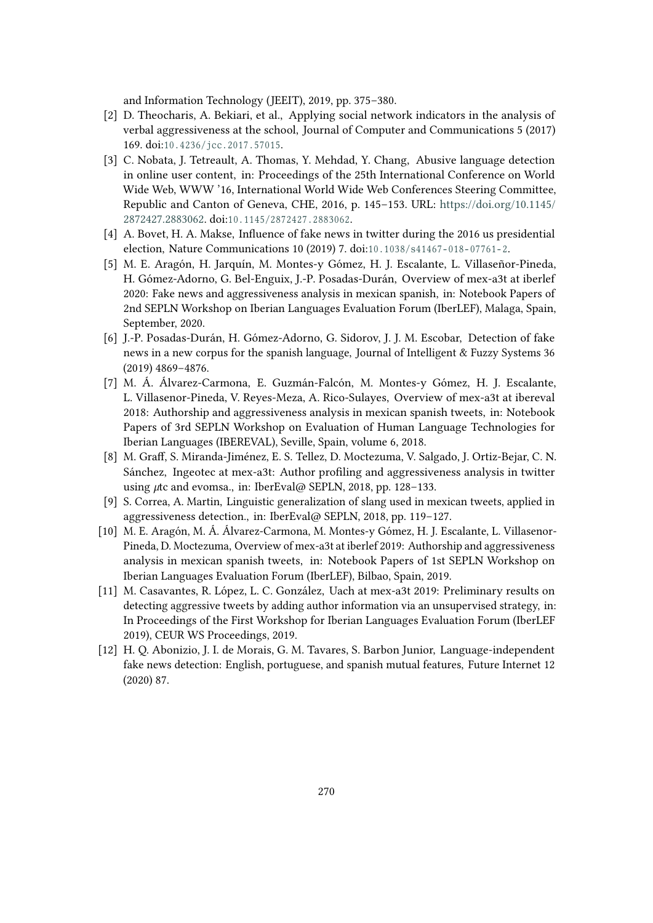and Information Technology (JEEIT), 2019, pp. 375–380.

- [2] D. Theocharis, A. Bekiari, et al., Applying social network indicators in the analysis of verbal aggressiveness at the school, Journal of Computer and Communications 5 (2017) 169. doi:10.4236/jcc.2017.57015.
- [3] C. Nobata, J. Tetreault, A. Thomas, Y. Mehdad, Y. Chang, Abusive language detection in online user content, in: Proceedings of the 25th International Conference on World Wide Web, WWW '16, International World Wide Web Conferences Steering Committee, Republic and Canton of Geneva, CHE, 2016, p. 145–153. URL: [https://doi.org/10.1145/](https://doi.org/10.1145/2872427.2883062) [2872427.2883062.](https://doi.org/10.1145/2872427.2883062) doi:10.1145/2872427.2883062.
- [4] A. Bovet, H. A. Makse, Influence of fake news in twitter during the 2016 us presidential election, Nature Communications 10 (2019) 7. doi:10.1038/s41467-018-07761-2.
- [5] M. E. Aragón, H. Jarquín, M. Montes-y Gómez, H. J. Escalante, L. Villaseñor-Pineda, H. Gómez-Adorno, G. Bel-Enguix, J.-P. Posadas-Durán, Overview of mex-a3t at iberlef 2020: Fake news and aggressiveness analysis in mexican spanish, in: Notebook Papers of 2nd SEPLN Workshop on Iberian Languages Evaluation Forum (IberLEF), Malaga, Spain, September, 2020.
- <span id="page-5-6"></span>[6] J.-P. Posadas-Durán, H. Gómez-Adorno, G. Sidorov, J. J. M. Escobar, Detection of fake news in a new corpus for the spanish language, Journal of Intelligent & Fuzzy Systems 36 (2019) 4869–4876.
- <span id="page-5-0"></span>[7] M. Á. Álvarez-Carmona, E. Guzmán-Falcón, M. Montes-y Gómez, H. J. Escalante, L. Villasenor-Pineda, V. Reyes-Meza, A. Rico-Sulayes, Overview of mex-a3t at ibereval 2018: Authorship and aggressiveness analysis in mexican spanish tweets, in: Notebook Papers of 3rd SEPLN Workshop on Evaluation of Human Language Technologies for Iberian Languages (IBEREVAL), Seville, Spain, volume 6, 2018.
- <span id="page-5-1"></span>[8] M. Graff, S. Miranda-Jiménez, E. S. Tellez, D. Moctezuma, V. Salgado, J. Ortiz-Bejar, C. N. Sánchez, Ingeotec at mex-a3t: Author profiling and aggressiveness analysis in twitter using  $\mu$ tc and evomsa., in: IberEval@ SEPLN, 2018, pp. 128–133.
- <span id="page-5-2"></span>[9] S. Correa, A. Martin, Linguistic generalization of slang used in mexican tweets, applied in aggressiveness detection., in: IberEval@ SEPLN, 2018, pp. 119–127.
- <span id="page-5-3"></span>[10] M. E. Aragón, M. Á. Álvarez-Carmona, M. Montes-y Gómez, H. J. Escalante, L. Villasenor-Pineda, D. Moctezuma, Overview of mex-a3t at iberlef 2019: Authorship and aggressiveness analysis in mexican spanish tweets, in: Notebook Papers of 1st SEPLN Workshop on Iberian Languages Evaluation Forum (IberLEF), Bilbao, Spain, 2019.
- <span id="page-5-4"></span>[11] M. Casavantes, R. López, L. C. González, Uach at mex-a3t 2019: Preliminary results on detecting aggressive tweets by adding author information via an unsupervised strategy, in: In Proceedings of the First Workshop for Iberian Languages Evaluation Forum (IberLEF 2019), CEUR WS Proceedings, 2019.
- <span id="page-5-5"></span>[12] H. Q. Abonizio, J. I. de Morais, G. M. Tavares, S. Barbon Junior, Language-independent fake news detection: English, portuguese, and spanish mutual features, Future Internet 12 (2020) 87.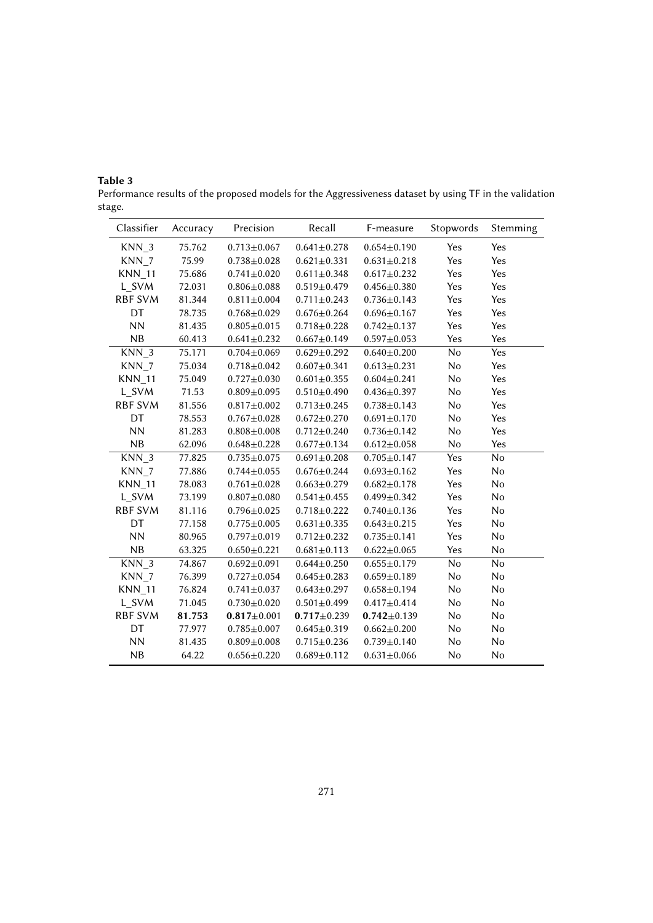| Classifier       | Accuracy | Precision         | Recall            | F-measure         | Stopwords | Stemming |
|------------------|----------|-------------------|-------------------|-------------------|-----------|----------|
| KNN <sub>3</sub> | 75.762   | $0.713 \pm 0.067$ | $0.641 \pm 0.278$ | $0.654 \pm 0.190$ | Yes       | Yes      |
| KNN <sub>7</sub> | 75.99    | $0.738 + 0.028$   | $0.621 \pm 0.331$ | $0.631 \pm 0.218$ | Yes       | Yes      |
| <b>KNN</b> 11    | 75.686   | $0.741 \pm 0.020$ | $0.611 \pm 0.348$ | $0.617 \pm 0.232$ | Yes       | Yes      |
| L_SVM            | 72.031   | $0.806 \pm 0.088$ | $0.519 \pm 0.479$ | $0.456 \pm 0.380$ | Yes       | Yes      |
| <b>RBF SVM</b>   | 81.344   | $0.811 \pm 0.004$ | $0.711 \pm 0.243$ | $0.736 \pm 0.143$ | Yes       | Yes      |
| DT               | 78.735   | $0.768 + 0.029$   | $0.676 \pm 0.264$ | $0.696 \pm 0.167$ | Yes       | Yes      |
| <b>NN</b>        | 81.435   | $0.805 \pm 0.015$ | $0.718 + 0.228$   | $0.742 \pm 0.137$ | Yes       | Yes      |
| NB               | 60.413   | $0.641 \pm 0.232$ | $0.667 \pm 0.149$ | $0.597 \pm 0.053$ | Yes       | Yes      |
| KNN <sub>3</sub> | 75.171   | $0.704 \pm 0.069$ | $0.629 \pm 0.292$ | $0.640 \pm 0.200$ | No        | Yes      |
| KNN <sub>7</sub> | 75.034   | $0.718 + 0.042$   | $0.607 + 0.341$   | $0.613 \pm 0.231$ | No        | Yes      |
| <b>KNN_11</b>    | 75.049   | $0.727 + 0.030$   | $0.601 \pm 0.355$ | $0.604 \pm 0.241$ | No        | Yes      |
| L_SVM            | 71.53    | $0.809 \pm 0.095$ | $0.510 \pm 0.490$ | $0.436 \pm 0.397$ | No        | Yes      |
| RBF SVM          | 81.556   | $0.817 \pm 0.002$ | $0.713 \pm 0.245$ | $0.738 \pm 0.143$ | No        | Yes      |
| DT               | 78.553   | $0.767 + 0.028$   | $0.672 \pm 0.270$ | $0.691 \pm 0.170$ | No        | Yes      |
| <b>NN</b>        | 81.283   | $0.808 + 0.008$   | $0.712 \pm 0.240$ | $0.736 \pm 0.142$ | No        | Yes      |
| NB               | 62.096   | $0.648 + 0.228$   | $0.677 \pm 0.134$ | $0.612 \pm 0.058$ | No        | Yes      |
| $KNN_3$          | 77.825   | $0.735 + 0.075$   | $0.691 \pm 0.208$ | $0.705 \pm 0.147$ | Yes       | No       |
| KNN <sub>7</sub> | 77.886   | $0.744 \pm 0.055$ | $0.676 \pm 0.244$ | $0.693 \pm 0.162$ | Yes       | No       |
| <b>KNN_11</b>    | 78.083   | $0.761 \pm 0.028$ | $0.663 \pm 0.279$ | $0.682 \pm 0.178$ | Yes       | No       |
| L SVM            | 73.199   | $0.807 + 0.080$   | $0.541 \pm 0.455$ | $0.499 + 0.342$   | Yes       | No       |
| <b>RBF SVM</b>   | 81.116   | $0.796 \pm 0.025$ | $0.718 + 0.222$   | $0.740 \pm 0.136$ | Yes       | No       |
| DT               | 77.158   | $0.775 \pm 0.005$ | $0.631 \pm 0.335$ | $0.643 \pm 0.215$ | Yes       | No       |
| <b>NN</b>        | 80.965   | $0.797 + 0.019$   | $0.712 \pm 0.232$ | $0.735 \pm 0.141$ | Yes       | No       |
| NB               | 63.325   | $0.650 + 0.221$   | $0.681 \pm 0.113$ | $0.622 \pm 0.065$ | Yes       | No       |
| KNN <sub>3</sub> | 74.867   | $0.692 \pm 0.091$ | $0.644 \pm 0.250$ | $0.655 \pm 0.179$ | No        | No       |
| KNN <sub>7</sub> | 76.399   | $0.727 + 0.054$   | $0.645 \pm 0.283$ | $0.659 + 0.189$   | No        | No       |
| <b>KNN_11</b>    | 76.824   | $0.741 \pm 0.037$ | $0.643 \pm 0.297$ | $0.658 + 0.194$   | No        | No       |
| L SVM            | 71.045   | $0.730 \pm 0.020$ | $0.501 \pm 0.499$ | $0.417 + 0.414$   | No        | No       |
| RBF SVM          | 81.753   | $0.817 \pm 0.001$ | $0.717 + 0.239$   | $0.742 \pm 0.139$ | No        | No       |
| DT               | 77.977   | $0.785 \pm 0.007$ | $0.645 \pm 0.319$ | $0.662 \pm 0.200$ | No        | No       |
| <b>NN</b>        | 81.435   | $0.809 + 0.008$   | $0.715 \pm 0.236$ | $0.739 + 0.140$   | No        | No       |
| NB               | 64.22    | $0.656 \pm 0.220$ | $0.689 + 0.112$   | $0.631 \pm 0.066$ | No        | No       |

<span id="page-6-0"></span>**Table 3** Performance results of the proposed models for the Aggressiveness dataset by using TF in the validation stage.